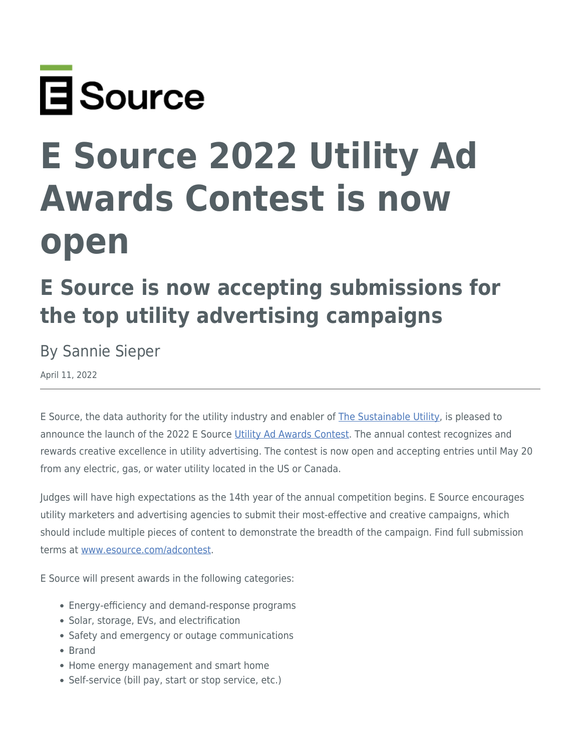

## **E Source 2022 Utility Ad Awards Contest is now open**

## **E Source is now accepting submissions for the top utility advertising campaigns**

By Sannie Sieper

April 11, 2022

E Source, the data authority for the utility industry and enabler of [The Sustainable Utility](https://www.esource.com/701221htgq/sustainable-utility-data-takes-center-stage), is pleased to announce the launch of the 2022 E Source [Utility Ad Awards Contest.](https://www.esource.com/adcontest) The annual contest recognizes and rewards creative excellence in utility advertising. The contest is now open and accepting entries until May 20 from any electric, gas, or water utility located in the US or Canada.

Judges will have high expectations as the 14th year of the annual competition begins. E Source encourages utility marketers and advertising agencies to submit their most-effective and creative campaigns, which should include multiple pieces of content to demonstrate the breadth of the campaign. Find full submission terms at [www.esource.com/adcontest](https://www.esource.com/adcontest).

E Source will present awards in the following categories:

- Energy-efficiency and demand-response programs
- Solar, storage, EVs, and electrification
- Safety and emergency or outage communications
- Brand
- Home energy management and smart home
- Self-service (bill pay, start or stop service, etc.)